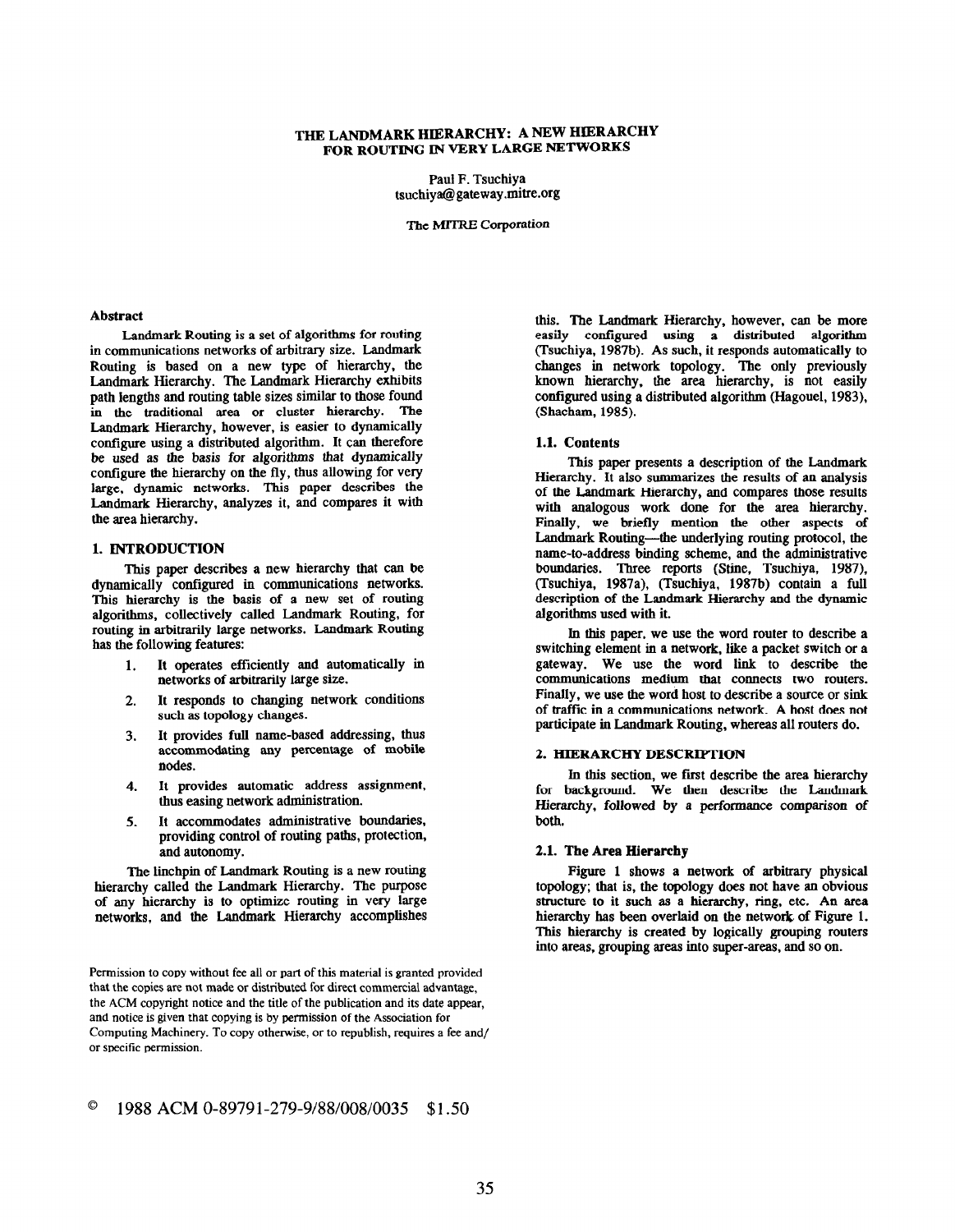# THE LANDMARK HIERARCHY: A NEW HIERARCHY FOR ROUTING IN VERY LARGE NETWORKS

Paul F. Tsuchiya tsuchiya@gateway.mitre.org

The MITRE Corporation

#### Abstract

Landmark Routing is a set of algorithms for routing in communications networks of arbitrary size. Landmark Routing is based on a new type of hierarchy, the Landmark Hierarchy. The Landmark Hierarchy exhibits path lengths and routing table sizes similar to those found in the traditional area or cluster hierarchy. The Landmark Hierarchy, however, is easier to dynamically configure using a distributed algorithm. It can therefore be used as the basis for algorithms that dynamically configure the hierarchy on the fly, thus allowing for very large, dynamic networks. This paper describes the Landmark Hierarchy, analyzes it, and compares it with the area hierarchy.

# 1. INTRODUCTION

This paper describes a new hierarchy that can be dynamically configured in communications networks. This hierarchy is the basis of a new set of routing algorithms, collectively called Landmark Routing, for routing in arbitrarily large networks. Landmark Routing has the following features:

- It operates efficiently and automatically in networks of arbitrarily large size.
- 2. It responds to changing network conditions such as topology changes.
- 3. It provides full name-based addressing, thus accommodating any percentage of mobile nodes.
- 4. It provides automatic address assignment, thus easing network administration.
- 5. It accommodates administrative boundaries, providing control of routing paths, protection, and autonomy.

The linchpin of Landmark Routing is a new routing hierarchy called the Landmark Hierarchy. The purpose of any hierarchy is to optimize routing in very large networks, and the Landmark Hierarchy accomplishes

Permission to copy without fee all or part of this material is granted provided that the copies are not made or distributed for direct commercial advantage, the ACM copyright notice and the title of the publication and its date appear, and notice is given that copying is by permission of the Association for Computing Machinery. To copy otherwise, or to republish, requires a fee and/ or specific permission.

this. The Landmark Hierarchy, however, can be more easily configured using a distributed algorithm (Tsuchiya, 1987b). As such, it responds automatically to changes in network topology. The only previously known hierarchy, the area hierarchy, is not easily configured using a distributed algorithm (Hagouel, 1983), (Shacham, 1985).

# 1.1. Contents

This paper presents a description of the Landmark Hierarchy. It also summarizes the results of an analysis of the Landmark Hierarchy, and compares those results with analogous work done for the area hierarchy. Finally, we briefly mention the other aspects of Landmark Routing-the underlying routing protocol, the name-to-address binding scheme, and the administrative boundaries. Three reports (Stine, Tsuchiya, 1987), (Tsuchiya, 1987a). (Tsuchiya, 1987b) contain a full description of the Landmark Hierarchy and the dynamic algorithms used with it.

In this paper, we use the word router to describe a switching element in a network, like a packet switch or a gateway. We use the word link to describe the communications medium tbat connects two routers. Finally, we use the word host to describe a source or sink of traffic in a communications network. A host does not participate in Landmark Routing, whereas all routers do.

# 2. HIERARCHY DESCRIPTION

In this section, we first describe the area hierarchy for background. We then describe the Landmark Hierarchy, followed by a performance comparison of both.

## 2.1. The Area Hierarchy

Figure 1 shows a network of arbitrary physical topology; that is, the topology does not have an obvious structure to it such as a hierarchy, ring, etc. An area hierarchy has been overlaid on the network of Figure 1. This hierarchy is created by logically grouping routers into areas, grouping areas into super-areas, and so on.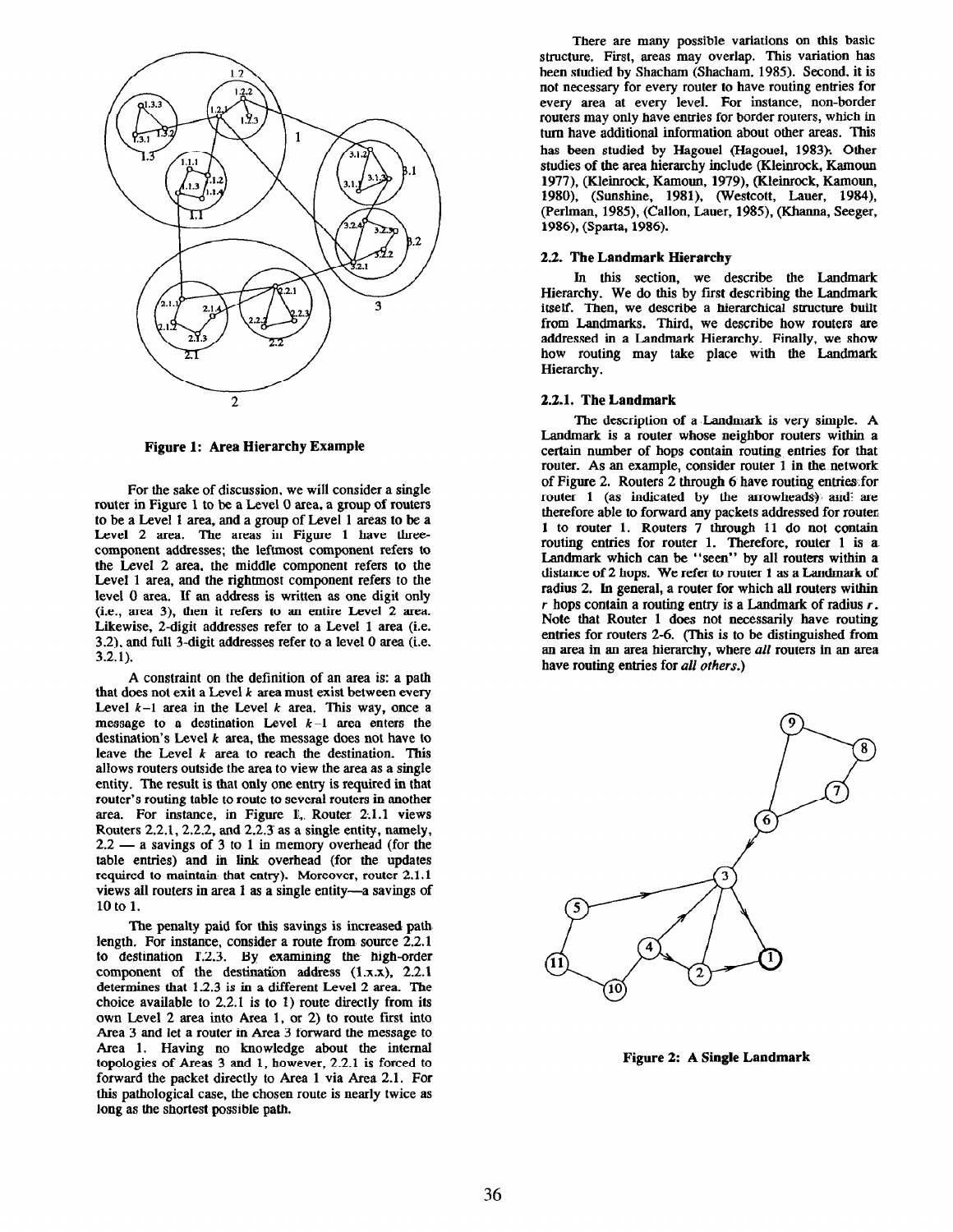

Figure 1: Area Hierarchy Example

For the sake of discussion, we will consider a single router in Figure 1 to be a Level 0 area, a group of routers to be a Level 1 area, and a group of Level 1 areas to be a Level 2 area. The areas in Figure 1 have threecomponent addresses; the leftmost component refers to the Level 2 area, the middle component refers to the Level 1 area, and the rightmost component refers to the level 0 area. If an address is written as one digit only (i.e., area 3). then it refers to an entire Level 2 area. Likewise, 2-digit addresses refer to a Level 1 area (i.e. 3.2). and full 3-digit addresses refer to a level 0 area (i.e. 3.2.1).

A constraint on the definition of an area is: a path that does not exit a Level  $k$  area must exist between every Level  $k-1$  area in the Level k area. This way, once a message to a destination Level  $k-1$  area enters the destination's Level  $k$  area, the message does not have to leave the Level  $k$  area to reach the destination. This allows routers outside the area to view the area as a single entity. The result is that only one entry is required in that router's routing table to route to several routers in another area. For instance, in Figure 1, Router 2.1.1 views Routers 2.2.1,2.2.2, and 2.2.3' as a single entity, namely,  $2.2 - a$  savings of 3 to 1 in memory overhead (for the table entries) and in link overhead (for the updates required to maintain that entry). Moreover, router 2.1.1 views ail routers in area 1 as a single entity-a savings of 10 to 1.

The penalty paid for this savings is increased path length. For instance, consider a route from. source 2.2.1 to destination T.2.3. By examining the high-order component of the destination address  $(1.x.x), 2.2.1$ determines that 1.2.3 is in a different Level 2 area. The choice available to 2.2.1 is to I) route directly from its own Level 2 area into Area 1, or 2) to route first into Area 3 and let a router in Area 3 forward the message to Area 1. Having no knowledge about the internal topologies of Areas 3 and 1, however, 2.2.1 is forced to forward the packet directly to Area 1 via Area 2.1. For this pathological case, the chosen route is nearly twice as long as the shortest possible path.

There are many possible variations on this basic structure. First, areas may overlap. This variation has been studied by Shacham (Shacham, 1985). Second, it is not necessary for every router to have routing entries for every area at every level. For instance, non-border routers may only have entries for border routers, which in turn have additional information about other areas. This has been studied by Hagouel (Hagouel, 1983): Other studies of the area hierarchy include (Kleinrock, Kamoun 1977), (Kleinrock, Kamoun. 1979), (Kleinrock, Kamoun, 1980). (Sunshine, 1981), (Westcott, Lauer, 1984), (Perlman, 1985), (Callon, Lauer, 1985), (Khanna, Seeger, 1986), (Sparta, 1986).

### 2.2. The Landmark Hierarchy

In this section, we describe the Laudmark Hierarchy. We do this by first describing the Landmark itself. Then, we describe a hierarchical structure built from Landmarks. Third, we describe how routers are addressed in a Landmark Hierarchy. Finally, we show how routing may take place with the Landmark Hierarchy.

# 2.2.1. The Landmark

The description of a Landmark is very simple. A Landmark is a router whose neighbor routers within a certain number of hops contain routing entries for that router. As an example, consider router 1 in the network of Figure 2. Routers 2 through 6 have routing entriesfor router 1 (as indicated by the arrowheads) and are therefore able to forward any packets addressed for router 1 to router 1. Routers 7 through 11 do not contain routing entries for router 1. Therefore, router 1 is a Landmark which can be "seen" by all routers within a distance of 2 hops. We refer to router 1 as a Landmark of radius 2. In general, a router for which all routers within r hops contain a routing entry is a Landmark of radius  $r$ . Note that Router 1 does not necessarily have routing entries for routers 2-6. (This is to be distinguished from an area in an area hierarchy, where all routers in an area have routing entries for all others.)



Figure 2: A Single Landmark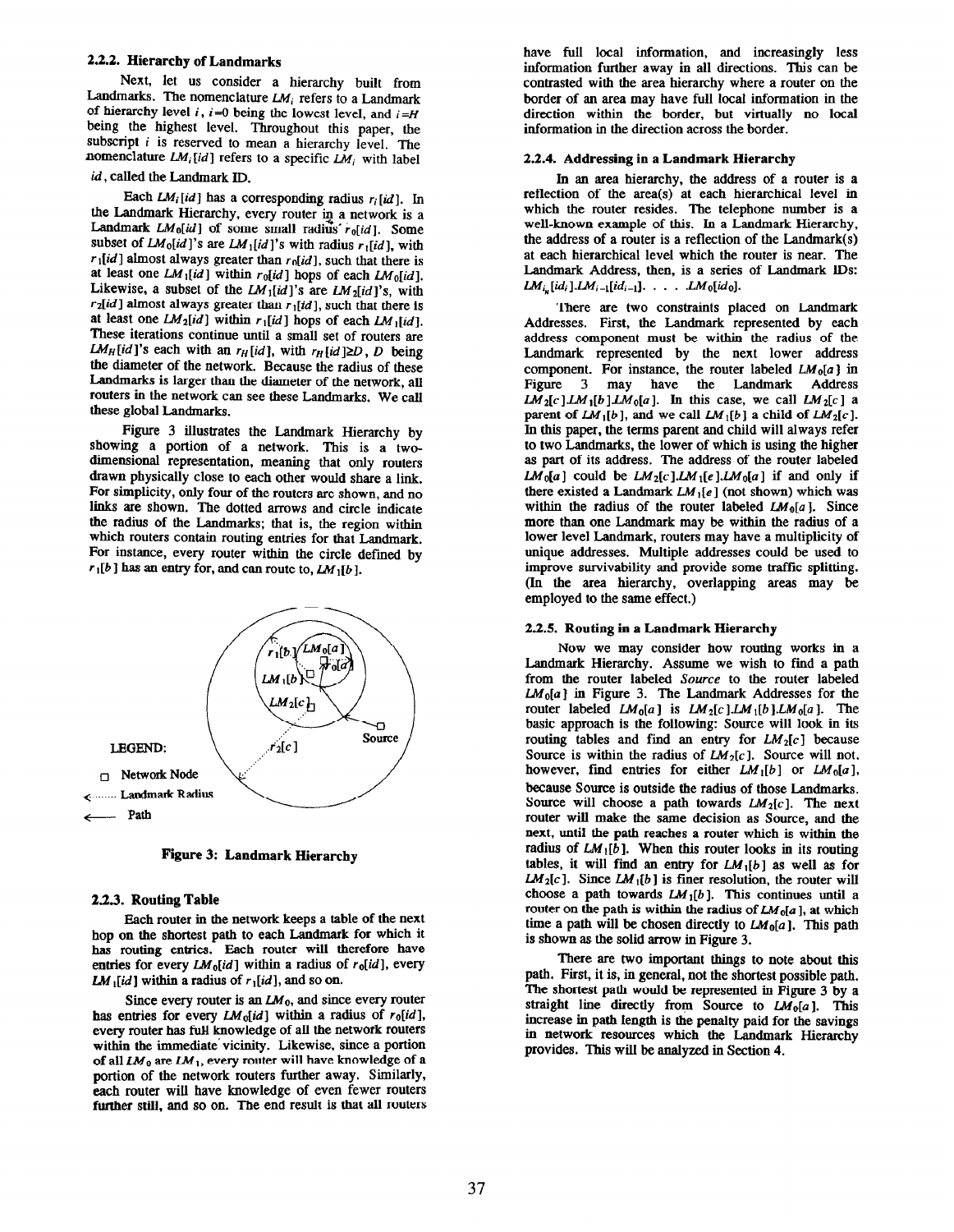## 2.2.2. Hierarchy of Landmarks

Next, let us consider a hierarchy built from Landmarks. The nomenclature  $LM_i$  refers to a Landmark of hierarchy level i,  $i=0$  being the lowest level, and  $i=H$ being the highest level. Throughout this paper, the subscript  $i$  is reserved to mean a hierarchy level. The nomenclature  $LM_i$  [id] refers to a specific  $LM_i$  with label

# id, called the Landmark ID.

Each  $LM<sub>i</sub>[id]$  has a corresponding radius  $r<sub>i</sub>[id]$ . In the Landmark Hierarchy, every router in a network is a Landmark  $LM_0(id]$  of some small radius  $r_0(id]$ . Some subset of  $LM_0(id)$ 's are  $LM_1(id)'$ s with radius  $r_1(id)$ , with  $r_1$ [id] almost always greater than  $r_0$ [id], such that there is at least one  $LM_1(id]$  within  $r_0(id]$  hops of each  $LM_0(id]$ . Likewise, a subset of the  $LM_1(id)'$ s are  $LM_2(id)'$ s, with  $r_2$ [id] almost always greater than  $r_1$ [id], such that there is at least one  $LM_2(id]$  within  $r_1(id]$  hops of each  $LM_1(id]$ . These iterations continue until a small set of routers are  $LM_H(id]$ 's each with an  $r_H(id]$ , with  $r_H(id) \ge D$ , D being the diameter of the network. Because the radius of these Landmarks is larger than the diameter of the network, all routers in the network can see these Landmarks. We call these global Landmarks.

Figure 3 illustrates the Landmark Hierarchy by showing a portion of a network. This is a twodimensional representation, meaning that only routers drawn physically close to each other would share a link. For simplicity, only four of the routers are shown, and no links are shown. The dotted arrows and circle indicate the radius of the Landmarks; that is, the region within which routers contain routing entries for that Landmark. For instance, every router within the circle defined by  $r_1[b]$  has an entry for, and can route to,  $LM_1[b]$ .



Figure 3: Landmark Hierarchy

### 2.2.3. Routing Table

Each router in the network keeps a table of the next hop on the shortest path to each Landmark for which it has routing entries. Each router will therefore have entries for every  $LM_0(id]$  within a radius of  $r_0(id]$ , every LM  $_{1}[id]$  within a radius of  $r_{1}[id]$ , and so on.

Since every router is an  $LM_0$ , and since every router has entries for every  $LM_0(id)$  within a radius of  $r_0(id)$ , every router has full knowledge of all the network routers within the immediate vicinity. Likewise, since a portion of all  $LM_0$  are  $LM_1$ , every router will have knowledge of a portion of the network routers further away. Similarly, each router wilJ have knowledge of even fewer routers further still, and so on. The end result is that all routers

have full local information, and increasingly less information further away in all directions. This can be contrasted with the area hierarchy where a router on the border of an area may have full local information in the direction within the border, but virtually no local information in the direction across the border.

#### 2.2.4. Addressing in a Landmark Hierarchy

In an area hierarchy, the address of a router is a reflection of the area(s) at each hierarchical level in which the router resides. The telephone number is a well-known example of this. In a Landmark Hierarchy, the address of a router is a reflection of the Landmark(s) at each hierarchical level which the router is near. The Landmark Address, then, is a series of Landmark IDS:  $LM_{i_n}[id_i].LM_{i-1}[id_{i-1}]. \ldots$  .  $LM_0[id_0].$ 

There are two constraints placed on Landmark Addresses. First, the Landmark represented by each address component must be within the radius of the Landmark represented by the next lower address component. For instance, the router labeled  $LM_0[a]$  in Figure 3 may have the Landmark Address  $LM_2[c]LM_1[b]LM_0[a]$ . In this case, we call  $LM_2[c]$  a parent of  $LM_1[b]$ , and we call  $LM_1[b]$  a child of  $LM_2[c]$ . In this paper, the terms parent and child will always refer to two Landmarks, the lower of which is using the higher as part of its address. The address of the router labeled  $LM_0[a]$  could be  $LM_2[c]$ . LM<sub>1</sub>[e]. LM<sub>0</sub>[a] if and only if there existed a Landmark  $LM_1[e]$  (not shown) which was within the radius of the router labeled  $LM_0[a]$ . Since more than one Landmark may be within the radius of a lower level Landmark, routers may have a multiplicity of unique addresses. Multiple addresses could be used to improve survivability and provide some traffic splitting. (In the area hierarchy, overlapping areas may be employed to the same effect.)

### 2.2.5. Routing in a Landmark Hierarchy

Now we may consider how routing works in a Landmark Hierarchy. Assume we wish to find a path from the router labeled Source to the router labeled  $LM_0[a]$  in Figure 3. The Landmark Addresses for the router labeled  $LM_0[a]$  is  $LM_2[c]LM_1[b]LM_0[a]$ . The basic approach is the following: Source will look in its routing tables and find an entry for  $LM_2[c]$  because Source is within the radius of  $LM<sub>2</sub>[c]$ . Source will not, however, find entries for either  $LM_1[b]$  or  $LM_0[a]$ , because Source is outside the radius of those Landmarks. Source will choose a path towards  $LM<sub>2</sub>[c]$ . The next router will make the same decision as Source, and the next, until the path reaches a router which is within the radius of  $LM_{1}[\bar{b}]$ . When this router looks in its routing tables, it will find an entry for  $LM_1[b]$  as well as for  $LM<sub>2</sub>[c]$ . Since  $LM<sub>1</sub>[b]$  is finer resolution, the router will choose a path towards  $LM_1[b]$ . This continues until a router on the path is within the radius of  $LM_0[a]$ , at which time a path will be chosen directly to  $LM_0[a]$ . This path is shown as the solid arrow in Figure 3.

There are two important things to note about this path. First, it is, in general, not the shortest possible path. The shortest path would be represented in Figure 3 by a straight line directly from Source to  $LM_0[a]$ . This increase in path Length is the penalty paid for the savings in network resources which the Landmark Hierarchy provides. This will be analyzed in Section 4.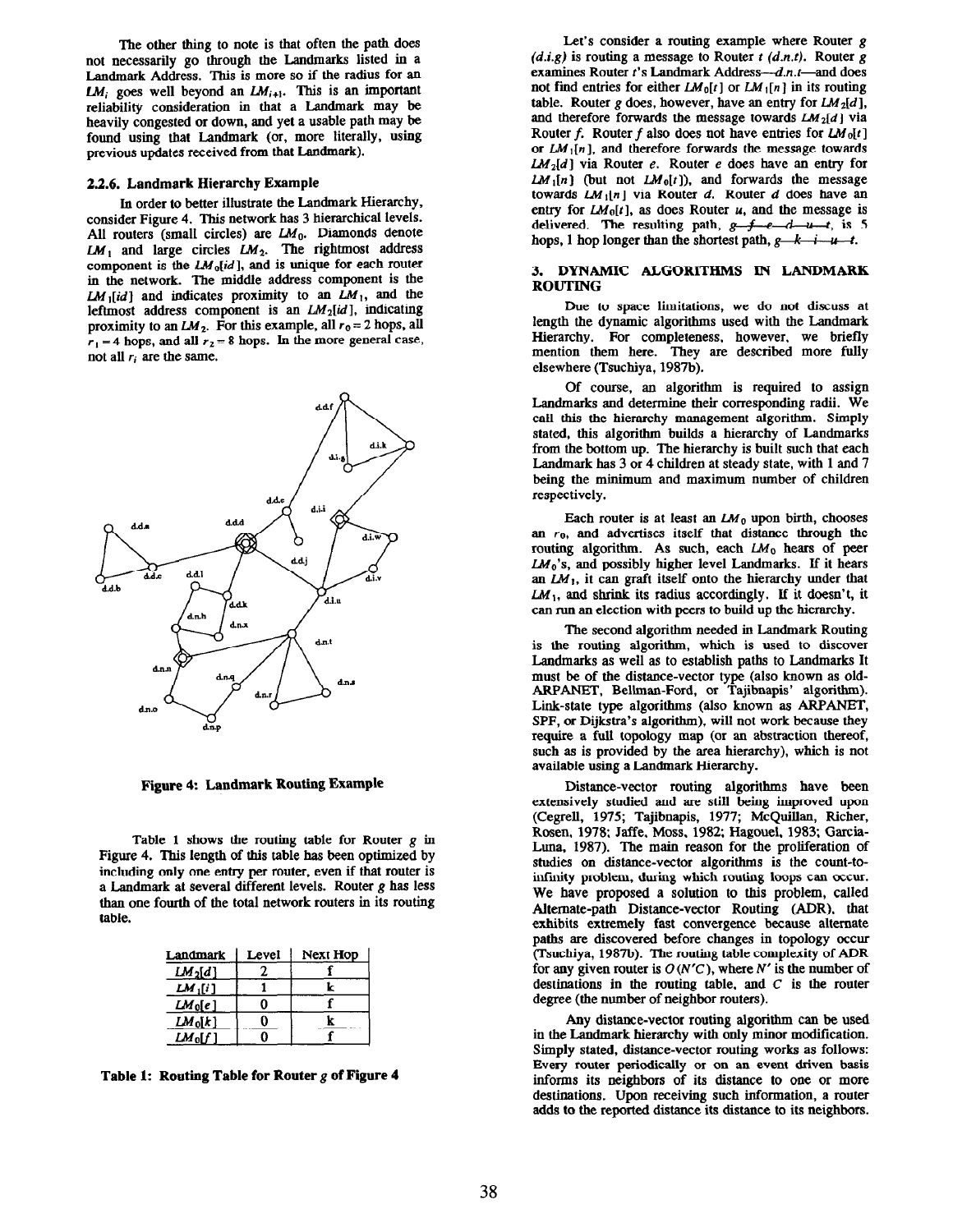The other thing to note is that often the path does not necessarily go through the Landmarks listed in a Landmark Address. This is more so if the radius for an  $LM_i$  goes well beyond an  $LM_{i+1}$ . This is an important reliability consideration in that a Landmark may be heavily congested or down, and yet a usable path may be found using that Landmark (or, more literally, using previous updates received from that Landmark).

### 23.6. Landmark Hierarchy Example

In order to better illustrate the Landmark Hierarchy, consider Figure 4. This network has 3 hierarchical levels. All routers (small circles) are  $LM_0$ . Diamonds denote  $LM_1$  and large circles  $LM_2$ . The rightmost address component is the  $LM_0(id)$ , and is unique for each router in the network. The middle address component is the  $LM_1(id)$  and indicates proximity to an  $LM_1$ , and the leftmost address component is an  $LM_2(id]$ , indicating proximity to an  $LM_2$ . For this example, all  $r_0 = 2$  hops, all  $r_1 = 4$  hops, and all  $r_2 = 8$  hops. In the more general case, not all  $r_i$  are the same.



Figure 4: Landmark Routing Example

Table 1 shows the routing table for Router g in Figure 4. This length of this table has been optimized by including only one entry per router, even if that router is a Landmark at several different levels. Router  $g$  has less than one fourth of the total network routers in its routing table.

| Landmark            | Level | Next Hop |
|---------------------|-------|----------|
| LM <sub>2</sub> [d] |       |          |
| $LM_1[i]$           |       | k        |
| $LM_0[e]$           |       |          |
| $LM_0[k]$           |       | r        |
| $LM_0[f]$           |       |          |

Table 1: Routing Table for Router  $g$  of Figure 4

Let's consider a routing example where Router g  $(d,i,g)$  is routing a message to Router t  $(d.n.t)$ . Router g examines Router t's Landmark Address--- d.n.t--- and does not find entries for either  $LM_0[t]$  or  $LM_1[n]$  in its routing table. Router g does, however, have an entry for  $LM_2[d]$ , and therefore forwards the message towards  $LM_2[d]$  via Router f. Router f also does not have entries for  $LM_0[t]$ or  $LM_1[n]$ , and therefore forwards the message towards  $LM_2[d]$  via Router e. Router e does have an entry for  $LM_1[n]$  (but not  $LM_0[t]$ ), and forwards the message towards  $LM_1[n]$  via Router d. Router d does have an entry for  $LM_0[t]$ , as does Router u, and the message is delivered. The resulting path,  $g-f-e-d-u-t$ , is 5 hops, 1 hop longer than the shortest path,  $g-k-i-u-t$ .

## 3. DYNAMIC ALGORITHMS IN LANDMARK ROUTING

Due to space limitations, we do not discuss at length the dynamic algorithms used with the Landmark Hierarchy. For completeness, however, we briefly mention them here. They are described more fully elsewhere (Tsuchiya, 1987b).

Of course, an algorithm is required to assign Landmarks and determine their corresponding radii. We call this the hierarchy management algorithm. Simply stated, this algorithm builds a hierarchy of Landmarks from the bottom up. The hierarchy is built such that each Landmark has 3 or 4 children at steady state, with 1 and 7 being the minimum and maximum number of children respectively.

Each router is at least an  $LM_0$  upon birth, chooses an  $r_0$ , and advertises itself that distance through the routing algorithm. As such, each  $LM_0$  hears of peer  $LM_0$ 's, and possibly higher level Landmarks. If it hears an  $LM_1$ , it can graft itself onto the hierarchy under that  $LM_1$ , and shrink its radius accordingly. If it doesn't, it can run an election with peers to build up the hierarchy.

The second algorithm needed in Landmark Routing is the routing algorithm, which is used to discover Landmarks as well as to establish paths to Landmarks It must be of the distance-vector type (also known as old-ARPANET, Bellman-Ford, or Tajibnapis' algorithm). Link-state type algorithms (also known as ARPANET, SPF, or Dijkstra's algorithm), will not work because they require a full topology map (or an abstraction thereof, such as is provided by the area hierarchy), which is not available using a Landmark Hierarchy.

Distance-vector routing algorithms have been extensively studied and are still being improved upon (Cegrell, 1975; Tajibnapis, 1977; McQuillau, Richer, Rosen, 1978; Jaffe, Moss, 1982; Hagouel, 1983; Garcia-Luna. 1987). The main reason for the proliferation of studies on distance-vector algorithms is the count-toinfinity problem, during which routing loops can occur. We have proposed a solution to this problem, called Alternate-path Distance-vector Routing (ADR), that exhibits extremely fast convergence because alternate paths are discovered before changes in topology occur (Tsuchiya, 1987h). The routing table complexity of ADR for any given router is  $O(N'C)$ , where N' is the number of destinations in the routing table, and  $C$  is the router degree (the number of neighbor routers).

Any distance-vector routing algorithm can be used in the Landmark hierarchy with only minor modification. Simply stated, distance-vector routing works as follows: Every router periodically or on an event driven basis informs its neighbors of its distance to one or more destinations. Upon receiving such information, a touter adds to the reported distance its distance to its neighbors.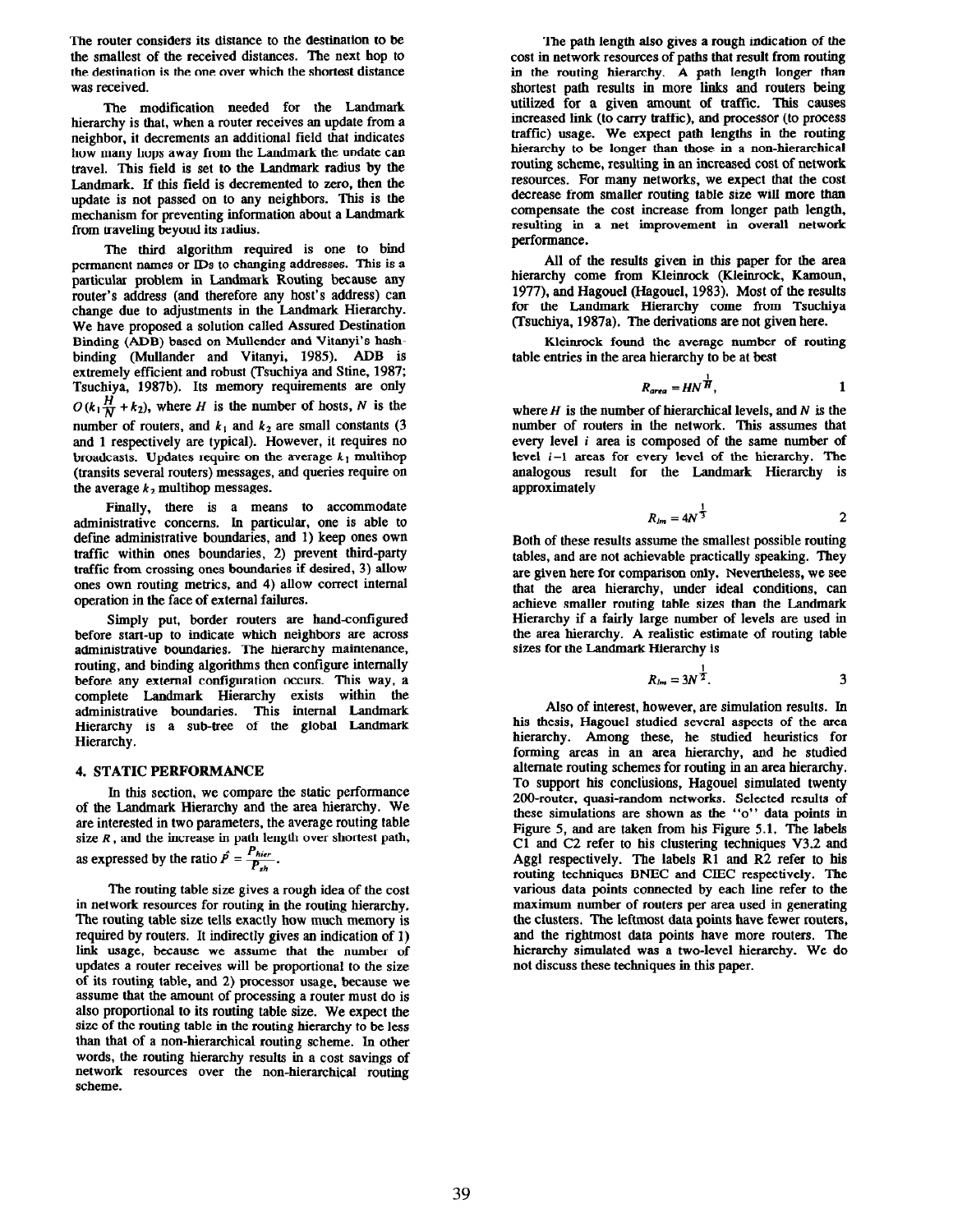The router considers its distance to the destination to be the smallest of the received distances. The next hop to the destination is the one over which the shortest distance was received.

The modification needed for the Landmark hierarchy is that, when a router receives an update from a neighbor, it decrements an additional field that indicates how many hops away from the Landmark the undate can travel. This field is set to the Landmark radius by the Landmark. If this field is decremented to zero, then the update is not passed on to any neighbors. This is the mechanism for preventing information about a Landmark from traveling beyond its radius.

The third algorithm required is one to bind permanent names or IDs to changing addresses. This is a particular problem in Landmark Routing because any router's address (and therefore any host's address) can change due to adjustments in the Landmark Hierarchy. We have proposed a solution called Assured Destination Binding (ADB) based on Mullender and Vitanyi's hashbinding (Mullander and Vitanyi, 1985). ADB is extremely efficient and robust (Tsuchiya and Stine, 1987; Tsuchiya, 1987b). Its memory requirements are only  $O(k_1\frac{H}{N} + k_2)$ , where H is the number of hosts, N is the number of routers, and  $k_1$  and  $k_2$  are small constants (3) and 1 respectively are typical). However, it requires no broadcasts. Updates require on the average  $k_1$  multihop (transits several routers) messages, and queries require on the average  $k_2$  multihop messages.

Finally, there is a means to accommodate administrative concerns. In particular, one is able to define administrative boundaries, and 1) keep ones own traffic within ones boundaries, 2) prevent third-party traffic from crossing ones boundaries if desired, 3) allow ones own routing metrics, and 4) allow correct internal operation in the face of external failures.

Simply put, border routers are hand-configured before start-up to indicate which neighbors are across administrative boundaries. The hierarchy maintenance, routing, and binding algorithms then configure internally before any external configuration occurs. This way, a complete Landmark Hierarchy exists within the administrative boundaries. This internal Landmark Hierarchy is a sub-tree of the global Landmark Hierarchy.

## 4. STATIC PERFORMANCE

In this section, we compare the static performance of the Landmark Hierarchy and the area hierarchy. We are interested in two parameters, the average routing table size  $R$ , and the increase in path length over shortest path, as expressed by the ratio  $\hat{P} = \frac{P_{hier}}{P_{sh}}$ .

The routing table size gives a rough idea of the cost in network resources for routing in the routing hierarchy. The routing table size tells exactly how much memory is required by routers. It indirectly gives an indication of I) link usage, because we assume that the number of updates a router receives will be proportional to the size of its routing table, and 2) processor usage, because we assume that the amount of processing a router must do is also proportional to its routing table size. We expect the size of the routing table in the routing hierarchy to be less than that of a non-hierarchical routing scheme. In other words, the routing hierarchy results in a cost savings of network resources over the non-hierarchical routing scheme.

The path length also gives a rough indication of the cost in network resources of paths that result from routing in the routing hierarchy. A path length longer than shortest path results in more links and routers being utilized for a given amount of traffic. This causes increased link (to carry traffic), and processor (to process traffic) usage. We expect path lengths in the routing hierarchy to be longer than those in a non-hierarchical routing scheme, resulting in an increased cost of network resources. For many networks, we expect that the cost decrease from smaller routing table size will more than compensate the cost increase from longer path length, resulting in a net improvement in overall network performance.

All of the results given in this paper for the area hierarchy come from Kleinrock (Kleinrock, Kamoun, 1977), and Hagouel (Hagouel, 1983). Most of the results for the Landmark Hierarchy come from Tsuchiya (Tsuchiya, 1987a). The derivations are not given here.

Kleinrock found the average number of routing table entries in the area hierarchy to be at best

$$
R_{area} = H N^{\frac{1}{H}}, \qquad \qquad 1
$$

where  $H$  is the number of hierarchical levels, and  $N$  is the number of routers in the network. This assumes that every level i area is composed of the same number of level i-l areas for every level of the hierarchy. The analogous result for the Landmark Hierarchy is approximately

 $\lambda$ 

$$
R_{lm} = 4N^{\frac{1}{3}}
$$
 2

Both of these results assume the smallest possible routing tables, and are not achievable practically speaking. They are given here for comparison only. Nevertheless, we see that the area hierarchy, under ideal conditions, can achieve smaller routing table sixes than the Landmark Hierarchy if a fairly large number of levels are used in the area hierarchy. A realistic estimate of routing table sixes for the Landmark Hierarchy is

$$
R_{lm}=3N^{\frac{1}{2}}.\t\t 3
$$

Also of interest, however, are simulation results. In his thesis, Hagouel studied several aspects of the area hierarchy. Among these, he studied heuristics for forming areas in an area hierarchy, and he studied alternate routing schemes for routing in an area hierarchy. To support his conclusions, Hagouel simulated twenty 200-router, quasi-random networks. Selected results of these simulations are shown as the "0" data points in Figure 5, and are taken from his Figure 5.1. The labels Cl and C2 refer to his clustering techniques V3.2 and Aggl respectively. The labels Rl and R2 refer to his routing techniques BNEC and CIEC respectively. The various data points connected by each line refer to the maximum number of routers per area used in generating the clusters. The leftmost data points have fewer routers, and the rightmost data points have more routers. The hierarchy simulated was a two-level hierarchy. We do not discuss these techniques in this paper.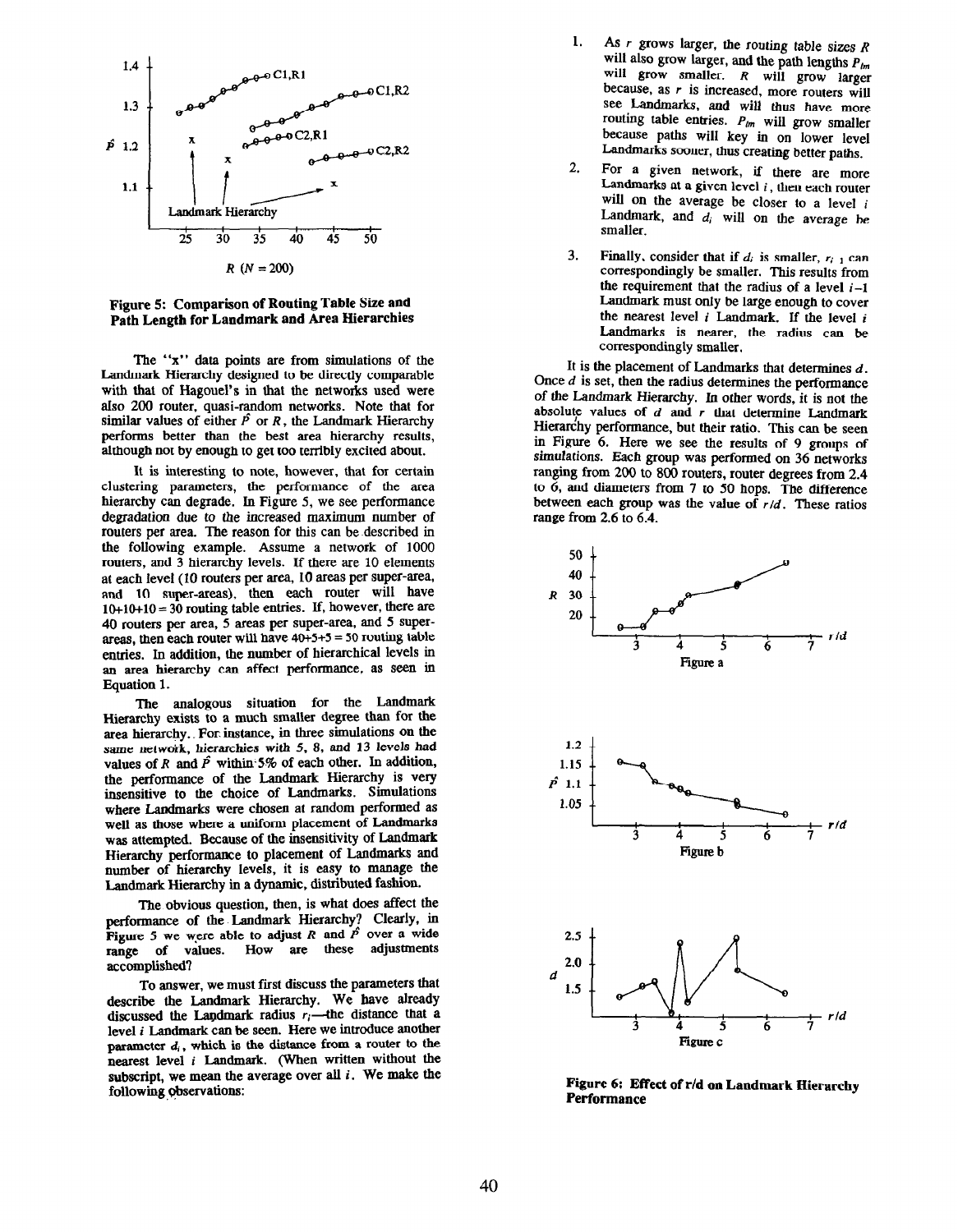

Figure 5: Comparison of Routing Table Size and Path Length for Landmark and Area Hierarchies

The "x" data points are from simulations of the Landmark Hierarchy designed to be directly comparable with that of Hagouel's in that the networks used were also 200 router, quasi-random networks. Note that for similar values of either  $\hat{P}$  or R, the Landmark Hierarchy performs better than the best area hierarchy results, although not by enough to get too terribly excited about.

It is interesting to note, however, that for certain clustering parameters, the performance of the area hierarchy can degrade. In Figure 5, we see performance degradation due to the increased maximum number of routers per area. The reason for this can be described in the following example. Assume a network of 1000 routers, and 3 hierarchy levels. If there are 10 elements at each level (10 routers per area, 10 areas per super-area, and 10 super-areas), then each router will have  $10+10+10 = 30$  routing table entries. If, however, there are 40 routers per area, 5 areas per super-area, and 5 superareas, then each router will have  $40+5+5 = 50$  routing table emies. In addition, the number of hierarchical levels in an area hierarchy can affect performance, as seen in Equation 1.

The analogous situation for the Landmark Hierarchy exists to a much smaller degree than for the area hierarchy.. For instance, in three simulations on the same network, hierarchies with 5, 8, and 13 levels had values of R and  $\hat{P}$  within-5% of each other. In addition, the performance of the Landmark Hierarchy is very insensitive to the choice of Landmarks. Simulations where Landmarks were chosen at random performed as well as those where a uniform placement of Landmarks was attempted. Because of the insensitivity of Landmark Hierarchy performance to placement of Landmarks and number of hierarchy levels, it is easy to manage the Landmark Hierarchy in a dynamic, distributed fashion.

The obvious question, then, is what does affect the performance of the-Landmark Hierarchy? Clearly, in Figure 5 we were able to adjust R and  $\hat{P}$  over a wide range of values. How are these adjustments accomplished?

To answer, we must first discuss the parameters that describe the Landmark Hierarchy. We have already discussed the Landmark radius  $r_i$ —the distance that a level  $i$  Landmark can be seen. Here we introduce another parameter  $d_i$ , which is the distance from a router to the nearest level i Landmark. (When written without the subscript, we mean the average over all  $i$ . We make the following observations:

- 1. As  $r$  grows larger, the routing table sizes  $R$ will also grow larger, and the path lengths  $P_{lm}$ will grow smaller. R will grow larger because, as  $r$  is increased, more routers will see Landmarks, and will thus have more routing table entries.  $P_{lm}$  will grow smaller because paths will key in on lower level Landmarks sooner, thus creating better paths.
- 2. For a given network, if there are more Landmarks at a given level  $i$ , then each router will on the average be closer to a level  $i$ Landmark, and  $d_i$  will on the average be smaller.
- 3. Finally, consider that if  $d_i$  is smaller,  $r_{i-1}$  can correspondingly be smaller. This results from the requirement that the radius of a level  $i-1$ Landmark must only be large enough to cover the nearest level  $i$  Landmark. If the level  $i$ Landmarks is nearer, the radius can be correspondingly smaller.

It is the placement of Landmarks that determines  $d$ . Once  $d$  is set, then the radius determines the performance of the Landmark Hierarchy. In other words, it is not the absolute values of  $d$  and  $r$  that determine Landmark Hierarchy performance, but their ratio. This can be seen in Figure 6. Here we see the results of 9 groups of simulations. Each group was performed on 36 networks ranging from 200 to 800 routers, router degrees from 2.4 to 6, and diameters from 7 to 50 hops. The difference between each group was the value of  $r/d$ . These ratios range from 2.6 to 6.4.



Figure 6: Effect of r/d on Landmark Hierarchy Performance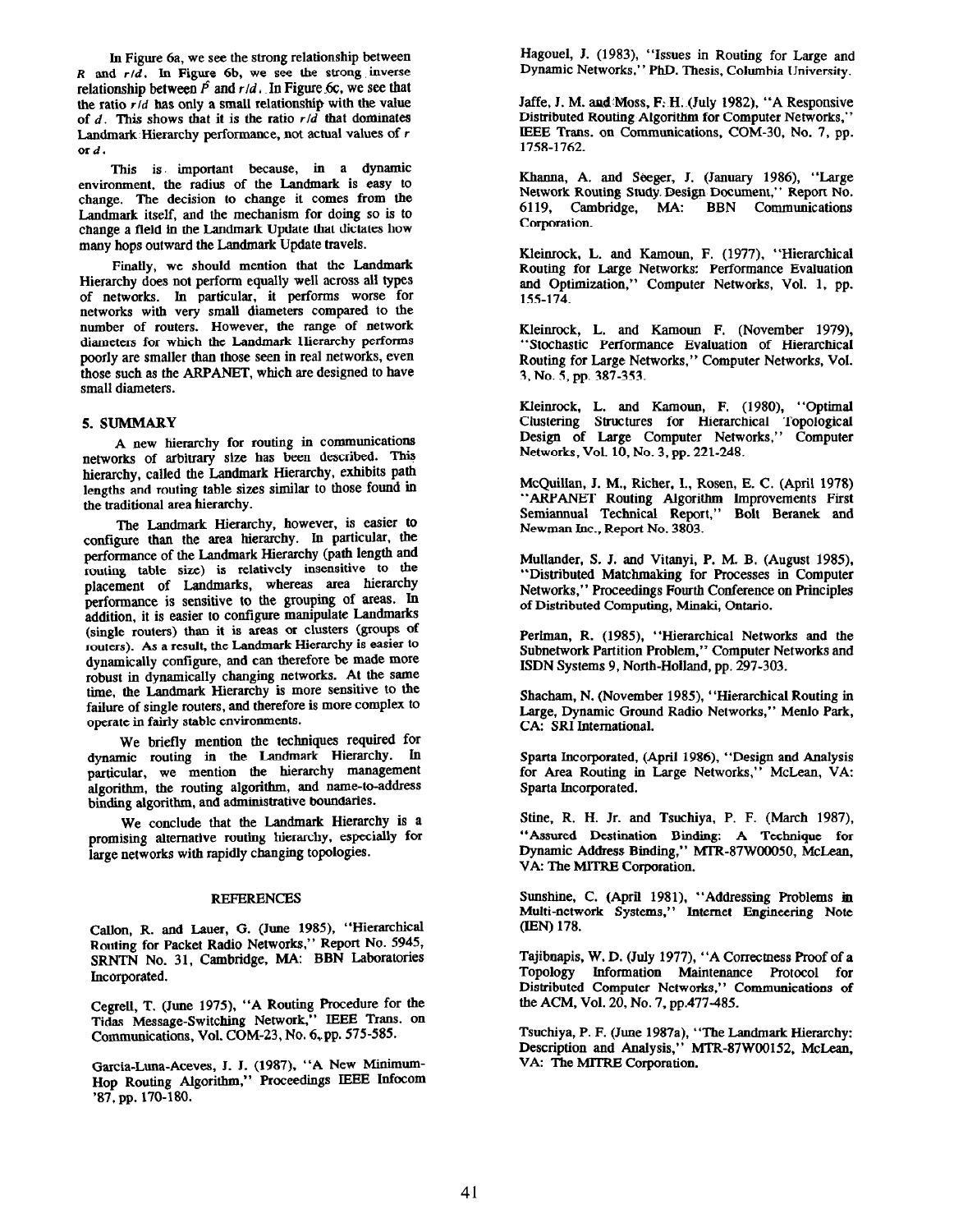In Figure 6a, we see the strong relationship between  $R$  and  $r/d$ . In Figure 6b, we see the strong inverse relationship between  $\hat{P}$  and  $r/d$ . In Figure 6c, we see that the ratio  $r/d$  has only a small relationship with the value of  $d$ . This shows that it is the ratio  $r/d$  that dominates Landmark Hierarchy performance, not actual values of r ord.

This is. important because, in a dynamic environment, the radius of the Landmark is easy to change, The decision to change it comes from the Landmark itself, and the mechanism for doing so is to change a field in the Landmark Update that dictates how many hops outward the Landmark Update travels.

Finally, we should mention that the Landmark Hierarchy does not perform equally well across all types of networks. In particular, it performs worse for networks with very small diameters compared to the number of routers. However, the range of network diameters for which the Landmark Hierarchy performs poorly are smaller than those seen in real networks, even those such as the ARPANET, which are designed to have small diameters.

### 5. SUMMARY

A new hierarchy for routing in communications networks of arbitrary size has been described. This hierarchy, called the Landmark Hierarchy, exhibits path lengths and routing table sixes similar to those found in the traditional area hierarchy.

The Landmark Hierarchy, however, is easier to configure than the area hierarchy. In particular, the performance of the Landmark Hierarchy (path length and routing table size) is relatively insensitive to the placement of Landmarks, whereas area hierarchy performance is sensitive to the grouping of areas. In addition, it is easier to configure manipulate Landmarks (single routers) thau it is areas or clusters (groups of routers). As a result, the Landmark Hierarchy is easier to dynamically configure, and can therefore be made more robust in dynamically changing networks. At the same time, the Landmark Hierarchy is more sensitive to the failure of single routers, and therefore is more complex to operate in fairly stable environments.

We briefly mention the techniques required for dynamic routing in the Landmark Hierarchy. In particular, we mention the hierarchy management algorithm, the routing algorithm, and name-to-address binding algorithm, and administrative boundaries.

We conclude that the Landmark Hierarchy is a promising alternative routing hierarchy, especially for large networks with rapidly changing topologies.

### REFERENCES

Callon, R. and Lauer, G. (June 1985), "Hierarchical Routing for Packet Radio Networks," Report No. 5945, SRNTN No. 31, Cambridge, MA: BBN Laboratories Incorporated.

Cegrell, T. (June 1975), "A Routing Procedure for the Tidas Message-Switching Network," IEEE Trans. on Communications, Vol. COM-23, No. 6,pp. 575-585.

Garcia-Luna-Aceves, J. J. (1987), "A New Minimum-Hop Routing Algorithm," Proceedings IEEE Infocom '87, pp. 170-180.

Hagouel, J. (1983), "Issues in Routing for Large and Dynamic Networks," PhD. Thesis, Columbia University.

Jaffe, J. M. au&Moss, F: H..(July 1982). "A Responsive Distributed Routing Algorithm for Computer Networks," IEEE Trans. on Communications, COM-30, No. 7, pp. 1758-1762.

Khanna, A. and Seeger, J. (January 1986), "Large Network Routing Study. Design Document," Report No. Cambridge, MA: BBN Communications Corporation.

Kleinrock, L. and Kamoun, F. (1977), "Hierarchical Routing for Large Networks: Performance Evaluation and Optimization," Computer Networks, Vol. 1, pp. 155-174.

Kleinrock, L. and Kamoun F. (November 1979), "Stochastic Performance Evaluation of Hierarchical Routing for Large Networks," Computer Networks, Vol. 3, No. 5, pp. 387-353.

Kleinrock, L. and Kamoun, F. (1980), "Optimal Clustering Structures for Hierarchical Topological Design of Large Computer Networks," Computer Networks, Vol. 10, No. 3, pp. 221-248.

McQuillan. J. M., Richer, I., Rosen, E. C. (April 1978) "ARPANET Routing Algorithm Improvements First Semiannual Technical Report," Bolt Beranek and Newman Inc., Report No. 3803.

Mullander, S. J. and Vitanyi, P. M. B. (August 1985), "Distributed Matchmaking for Processes in Computer Networks," Proceedings Fourth Conference on Principles of Distributed Computing, Minaki, Ontario.

Perlman, R. (1985), "Hierarchical Networks and the Subnetwork Partition Problem," Computer Networks and ISDN Systems 9, North-Holland, pp. 297-303.

Shacham, N. (November 1985), "Hierarchical Routing in Large, Dynamic Ground Radio Networks," Menlo Park, CA: SRI International.

Sparta Incorporated, (April 1986), "Design and Analysis for Area Routing in Large Networks," McLean, VA: Sparta Incorporated.

Stine, R. H. Jr. and Tsuchiya, P. F. (March 1987), "Assured Destination Binding: A Technique for Dynamic Address Binding," MTR-87WOOO50, McLean, VA: The MJTRE Corporation.

Sunshine, C. (April 1981), "Addressing Problems in Multi-network Systems," Internet Engineering Note (EN) 178.

Tajibuapis, W. D. (July 1977), "A Correctness Proof of a Topology Information Maintenance Protocol for Distributed Computer Networks," Communications of the ACM, Vol. 20, No. 7, pp.477-485.

Tsuchiya, P. F. (June 1987a), "The Landmark Hierarchy: Description and Analysis," MTR-87WOO152, McLean, VA: The MITRE Corporation.